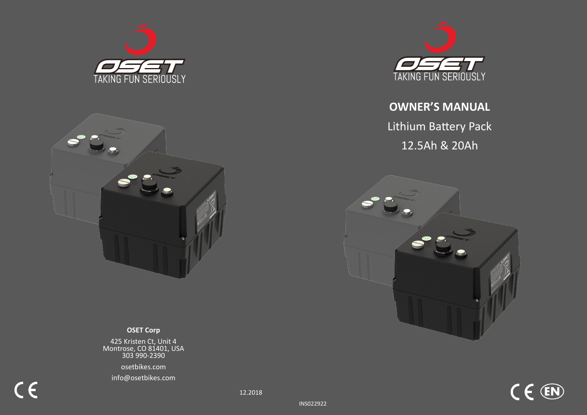



### **MARING SCIET Corp**

ات استعداد استعداد است.<br>18.D Montrose **OSET Bikes are designed for off road use only and must not be used on public**  425 Kristen Ct, Unit 4 Montrose, CO 81401, USA 303 990-2390

**roads or sidewalks. Please check and obey all local laws.**  osetbikes.com

info@osetbikes.com

 $C \in$ 



# **OWNER'S MANUAL**  Lithium Battery Pack 12.5Ah & 20Ah



 $C \in \mathbb{R}$ 

INS022922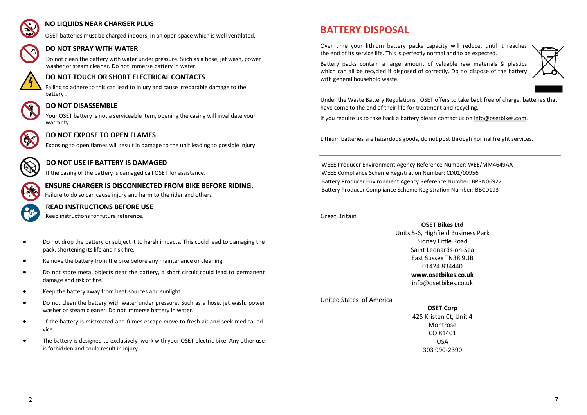

#### **NO LIQUIDS NEAR CHARGER PLUG**

OSET batteries must be charged indoors, in an open space which is well ventilated.

### **DO NOT SPRAY WITH WATER**

Do not clean the battery with water under pressure. Such as a hose, jet wash, power washer or steam cleaner. Do not immerse battery in water.



#### **DO NOT TOUCH OR SHORT ELECTRICAL CONTACTS**

Failing to adhere to this can lead to injury and cause irreparable damage to the battery .



#### **DO NOT DISASSEMBLE**

Your OSET battery is not a serviceable item, opening the casing will invalidate your warranty.



#### **DO NOT EXPOSE TO OPEN FLAMES**

Exposing to open flames will result in damage to the unit leading to possible injury.



#### **DO NOT USE IF BATTERY IS DAMAGED**

If the casing of the battery is damaged call OSET for assistance.



### **ENSURE CHARGER IS DISCONNECTED FROM BIKE BEFORE RIDING.**

Failure to do so can cause injury and harm to the rider and others



#### **READ INSTRUCTIONS BEFORE USE**

Keep instructions for future reference.

- Do not drop the battery or subject it to harsh impacts. This could lead to damaging the pack, shortening its life and risk fire.
- Remove the battery from the bike before any maintenance or cleaning.
- Do not store metal objects near the battery, a short circuit could lead to permanent damage and risk of fire.
- Keep the battery away from heat sources and sunlight.
- Do not clean the battery with water under pressure. Such as a hose, jet wash, power washer or steam cleaner. Do not immerse battery in water.
- If the battery is mistreated and fumes escape move to fresh air and seek medical advice.
- The battery is designed to exclusively work with your OSET electric bike. Any other use is forbidden and could result in injury.

# **BATTERY DISPOSAL**

Over time your lithium battery packs capacity will reduce, until it reaches the end of its service life. This is perfectly normal and to be expected.

Battery packs contain a large amount of valuable raw materials & plastics which can all be recycled if disposed of correctly. Do no dispose of the battery with general household waste.



Under the Waste Battery Regulations , OSET offers to take back free of charge, batteries that have come to the end of their life for treatment and recycling.

If you require us to take back a battery please contact us on [info@osetbikes.com.](mailto:info@osetbikes.com)

Lithium batteries are hazardous goods, do not post through normal freight services.

WEEE Producer Environment Agency Reference Number: WEE/MM4649AA WEEE Compliance Scheme Registration Number: CD01/00956 Battery Producer Environment Agency Reference Number: BPRN06922 Battery Producer Compliance Scheme Registration Number: BBCD193

#### Great Britain

**OSET Bikes Ltd** Units 5-6, Highfield Business Park Sidney Little Road Saint Leonards-on-Sea East Sussex TN38 9UB 01424 834440 **www.osetbikes.co.uk** info@osetbikes.co.uk

United States of America

#### **OSET Corp**

425 Kristen Ct, Unit 4 Montrose CO 81401 USA 303 990-2390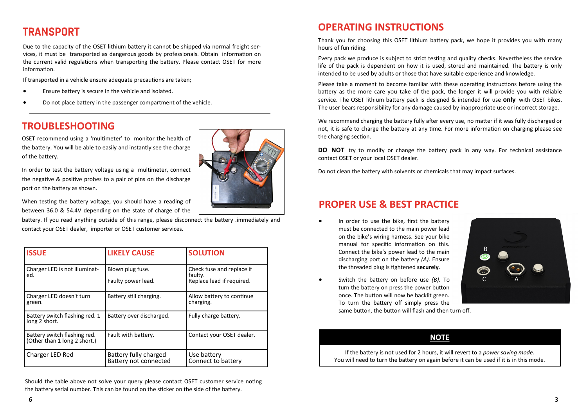# **TRANSPORT**

Due to the capacity of the OSET lithium battery it cannot be shipped via normal freight services, it must be transported as dangerous goods by professionals. Obtain information on the current valid regulations when transporting the battery. Please contact OSET for more information.

If transported in a vehicle ensure adequate precautions are taken;

- Ensure battery is secure in the vehicle and isolated.
- Do not place battery in the passenger compartment of the vehicle.

## **TROUBLESHOOTING**

OSET recommend using a 'multimeter' to monitor the health of the battery. You will be able to easily and instantly see the charge of the battery.

In order to test the battery voltage using a multimeter, connect the negative & positive probes to a pair of pins on the discharge port on the battery as shown.

When testing the battery voltage, you should have a reading of between 36.0 & 54.4V depending on the state of charge of the

battery. If you read anything outside of this range, please disconnect the battery .immediately and contact your OSET dealer, importer or OSET customer services.

| <b>ISSUE</b>                                                 | <b>LIKELY CAUSE</b>                            | <b>SOLUTION</b>                                                   |
|--------------------------------------------------------------|------------------------------------------------|-------------------------------------------------------------------|
| Charger LED is not illuminat-<br>ed.                         | Blown plug fuse.<br>Faulty power lead.         | Check fuse and replace if<br>faulty.<br>Replace lead if required. |
| Charger LED doesn't turn<br>green.                           | Battery still charging.                        | Allow battery to continue<br>charging.                            |
| Battery switch flashing red. 1<br>long 2 short.              | Battery over discharged.                       | Fully charge battery.                                             |
| Battery switch flashing red.<br>(Other than 1 long 2 short.) | Fault with battery.                            | Contact your OSET dealer.                                         |
| Charger LED Red                                              | Battery fully charged<br>Battery not connected | Use battery<br>Connect to battery                                 |

Should the table above not solve your query please contact OSET customer service noting the battery serial number. This can be found on the sticker on the side of the battery.



### **OPERATING INSTRUCTIONS**

Thank you for choosing this OSET lithium battery pack, we hope it provides you with many hours of fun riding.

Every pack we produce is subject to strict testing and quality checks. Nevertheless the service life of the pack is dependent on how it is used, stored and maintained. The battery is only intended to be used by adults or those that have suitable experience and knowledge.

Please take a moment to become familiar with these operating instructions before using the battery as the more care you take of the pack, the longer it will provide you with reliable service. The OSET lithium battery pack is designed & intended for use **only** with OSET bikes. The user bears responsibility for any damage caused by inappropriate use or incorrect storage.

We recommend charging the battery fully after every use, no matter if it was fully discharged or not, it is safe to charge the battery at any time. For more information on charging please see the charging section.

**DO NOT** try to modify or change the battery pack in any way. For technical assistance contact OSET or your local OSET dealer.

Do not clean the battery with solvents or chemicals that may impact surfaces.

### **PROPER USE & BEST PRACTICE**

In order to use the bike, first the battery must be connected to the main power lead on the bike's wiring harness. See your bike manual for specific information on this. Connect the bike's power lead to the main discharging port on the battery *(A).* Ensure the threaded plug is tightened **securely**.



• Switch the battery on before use *(B).* To turn the battery on press the power button once. The button will now be backlit green. To turn the battery off simply press the same button, the button will flash and then turn off.

#### **NOTE**

If the battery is not used for 2 hours, it will revert to a *power saving mode.*  You will need to turn the battery on again before it can be used if it is in this mode.